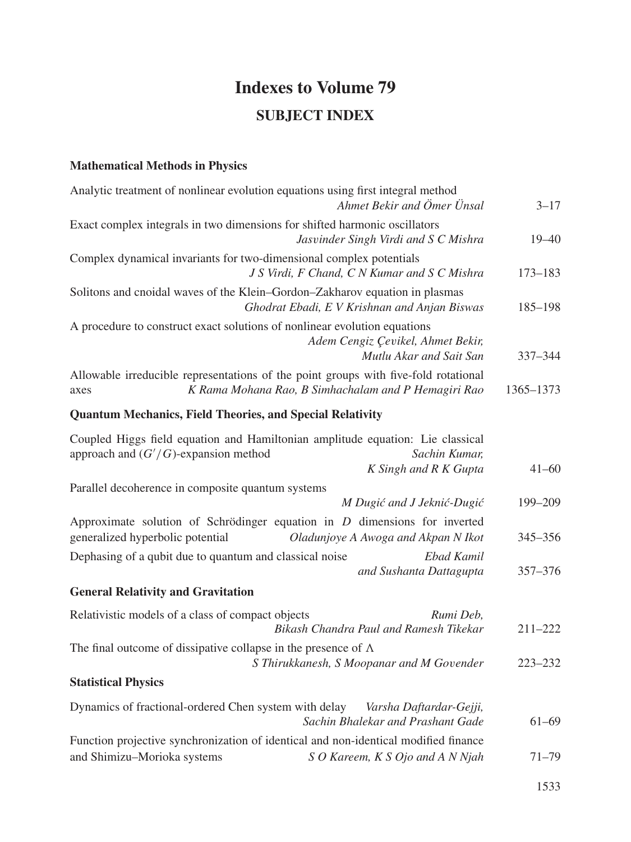## **Indexes to Volume 79 SUBJECT INDEX**

## **Mathematical Methods in Physics**

| Analytic treatment of nonlinear evolution equations using first integral method<br>Ahmet Bekir and Ömer Ünsal                                                       | $3 - 17$    |
|---------------------------------------------------------------------------------------------------------------------------------------------------------------------|-------------|
| Exact complex integrals in two dimensions for shifted harmonic oscillators<br>Jasvinder Singh Virdi and S C Mishra                                                  | $19 - 40$   |
| Complex dynamical invariants for two-dimensional complex potentials<br>J S Virdi, F Chand, C N Kumar and S C Mishra                                                 | $173 - 183$ |
| Solitons and cnoidal waves of the Klein-Gordon-Zakharov equation in plasmas<br>Ghodrat Ebadi, E V Krishnan and Anjan Biswas                                         | 185-198     |
| A procedure to construct exact solutions of nonlinear evolution equations<br>Adem Cengiz Çevikel, Ahmet Bekir,<br>Mutlu Akar and Sait San                           | 337-344     |
| Allowable irreducible representations of the point groups with five-fold rotational<br>K Rama Mohana Rao, B Simhachalam and P Hemagiri Rao<br>axes                  | 1365-1373   |
| <b>Quantum Mechanics, Field Theories, and Special Relativity</b>                                                                                                    |             |
| Coupled Higgs field equation and Hamiltonian amplitude equation: Lie classical<br>approach and $(G'/G)$ -expansion method<br>Sachin Kumar,<br>K Singh and R K Gupta | $41 - 60$   |
| Parallel decoherence in composite quantum systems<br>M Dugić and J Jeknić-Dugić                                                                                     | 199-209     |
| Approximate solution of Schrödinger equation in $D$ dimensions for inverted<br>generalized hyperbolic potential<br>Oladunjoye A Awoga and Akpan N Ikot              | 345-356     |
| Dephasing of a qubit due to quantum and classical noise<br><b>Ebad Kamil</b><br>and Sushanta Dattagupta                                                             | 357-376     |
| <b>General Relativity and Gravitation</b>                                                                                                                           |             |
| Relativistic models of a class of compact objects<br>Rumi Deb.<br>Bikash Chandra Paul and Ramesh Tikekar                                                            | $211 - 222$ |
| The final outcome of dissipative collapse in the presence of $\Lambda$<br>S Thirukkanesh, S Moopanar and M Govender                                                 | $223 - 232$ |
| <b>Statistical Physics</b>                                                                                                                                          |             |
| Dynamics of fractional-ordered Chen system with delay<br>Varsha Daftardar-Gejji,<br>Sachin Bhalekar and Prashant Gade                                               | $61 - 69$   |
| Function projective synchronization of identical and non-identical modified finance<br>and Shimizu-Morioka systems<br>S O Kareem, K S Ojo and A N Njah              | 71–79       |
|                                                                                                                                                                     |             |

1533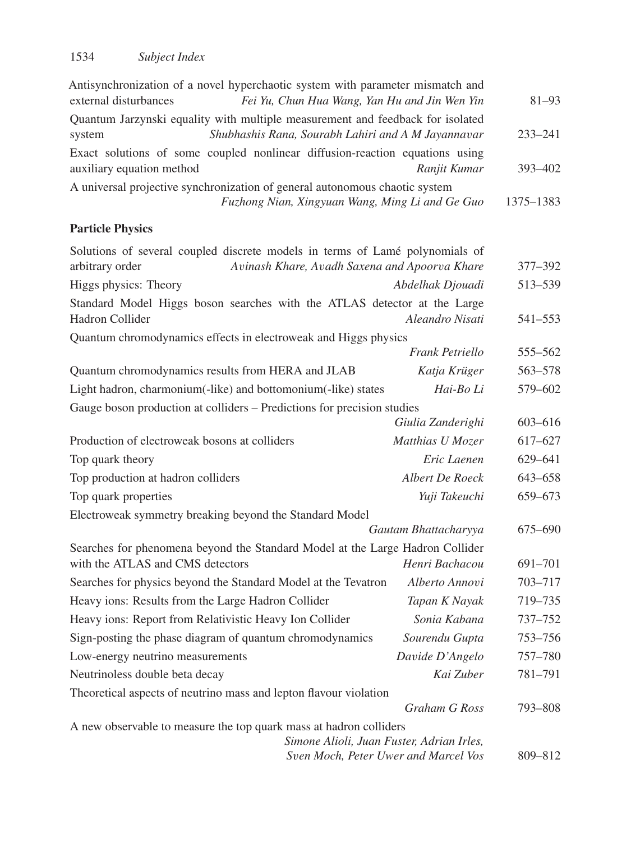| Antisynchronization of a novel hyperchaotic system with parameter mismatch and<br>external disturbances<br>Fei Yu, Chun Hua Wang, Yan Hu and Jin Wen Yin |                      | $81 - 93$   |
|----------------------------------------------------------------------------------------------------------------------------------------------------------|----------------------|-------------|
| Quantum Jarzynski equality with multiple measurement and feedback for isolated                                                                           |                      |             |
| Shubhashis Rana, Sourabh Lahiri and A M Jayannavar<br>system                                                                                             |                      | $233 - 241$ |
| Exact solutions of some coupled nonlinear diffusion-reaction equations using<br>auxiliary equation method                                                | Ranjit Kumar         | 393-402     |
| A universal projective synchronization of general autonomous chaotic system                                                                              |                      |             |
| Fuzhong Nian, Xingyuan Wang, Ming Li and Ge Guo                                                                                                          |                      | 1375-1383   |
| <b>Particle Physics</b>                                                                                                                                  |                      |             |
| Solutions of several coupled discrete models in terms of Lamé polynomials of                                                                             |                      |             |
| arbitrary order<br>Avinash Khare, Avadh Saxena and Apoorva Khare                                                                                         |                      | 377–392     |
| Higgs physics: Theory                                                                                                                                    | Abdelhak Djouadi     | 513-539     |
| Standard Model Higgs boson searches with the ATLAS detector at the Large<br>Hadron Collider                                                              | Aleandro Nisati      | 541-553     |
| Quantum chromodynamics effects in electroweak and Higgs physics                                                                                          |                      |             |
|                                                                                                                                                          | Frank Petriello      | 555-562     |
| Quantum chromodynamics results from HERA and JLAB                                                                                                        | Katja Krüger         | 563-578     |
| Light hadron, charmonium(-like) and bottomonium(-like) states                                                                                            | Hai-Bo Li            | 579-602     |
| Gauge boson production at colliders – Predictions for precision studies                                                                                  |                      |             |
|                                                                                                                                                          | Giulia Zanderighi    | 603-616     |
| Production of electroweak bosons at colliders                                                                                                            | Matthias U Mozer     | 617-627     |
| Top quark theory                                                                                                                                         | Eric Laenen          | 629-641     |
| Top production at hadron colliders                                                                                                                       | Albert De Roeck      | 643-658     |
| Top quark properties                                                                                                                                     | Yuji Takeuchi        | 659-673     |
| Electroweak symmetry breaking beyond the Standard Model                                                                                                  |                      |             |
|                                                                                                                                                          | Gautam Bhattacharyya | 675-690     |
| Searches for phenomena beyond the Standard Model at the Large Hadron Collider<br>with the ATLAS and CMS detectors                                        | Henri Bachacou       | 691-701     |
| Searches for physics beyond the Standard Model at the Tevatron                                                                                           | Alberto Annovi       | 703-717     |
| Heavy ions: Results from the Large Hadron Collider                                                                                                       | Tapan K Nayak        | 719-735     |
| Heavy ions: Report from Relativistic Heavy Ion Collider                                                                                                  | Sonia Kabana         | 737-752     |
| Sign-posting the phase diagram of quantum chromodynamics                                                                                                 | Sourendu Gupta       | 753-756     |
| Low-energy neutrino measurements                                                                                                                         | Davide D'Angelo      | 757-780     |
| Neutrinoless double beta decay                                                                                                                           | Kai Zuber            | 781-791     |
| Theoretical aspects of neutrino mass and lepton flavour violation                                                                                        |                      |             |
|                                                                                                                                                          | Graham G Ross        | 793-808     |
| A new observable to measure the top quark mass at hadron colliders                                                                                       |                      |             |
| Simone Alioli, Juan Fuster, Adrian Irles,                                                                                                                |                      |             |
| Sven Moch, Peter Uwer and Marcel Vos                                                                                                                     |                      | 809-812     |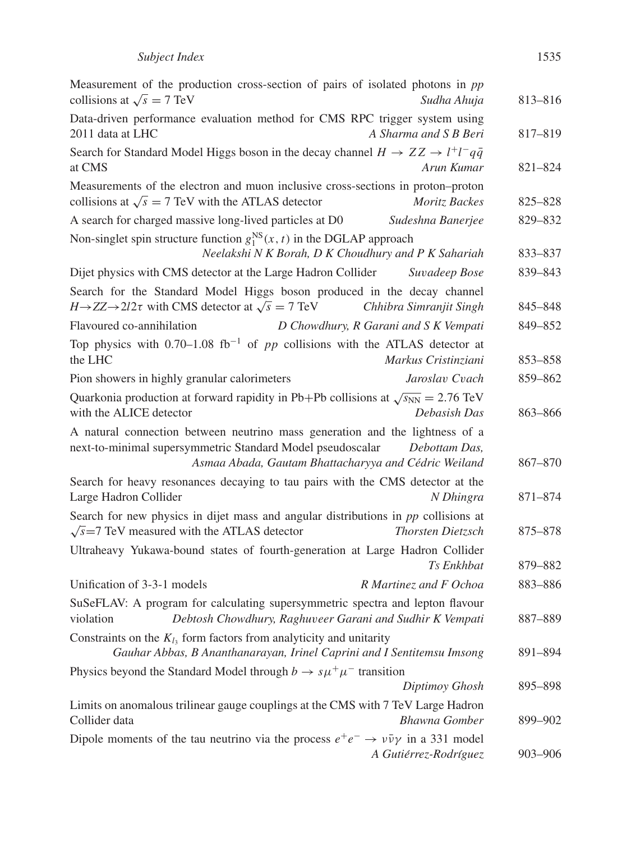| Measurement of the production cross-section of pairs of isolated photons in pp<br>collisions at $\sqrt{s} = 7$ TeV<br>Sudha Ahuja                                                                                   | 813-816 |
|---------------------------------------------------------------------------------------------------------------------------------------------------------------------------------------------------------------------|---------|
| Data-driven performance evaluation method for CMS RPC trigger system using<br>A Sharma and S B Beri<br>2011 data at LHC                                                                                             | 817-819 |
| Search for Standard Model Higgs boson in the decay channel $H \to ZZ \to l^+l^-q\bar{q}$<br>at CMS<br>Arun Kumar                                                                                                    | 821-824 |
| Measurements of the electron and muon inclusive cross-sections in proton-proton<br>collisions at $\sqrt{s} = 7$ TeV with the ATLAS detector<br>Moritz Backes                                                        | 825-828 |
| A search for charged massive long-lived particles at D0<br>Sudeshna Banerjee                                                                                                                                        | 829-832 |
| Non-singlet spin structure function $g_1^{NS}(x, t)$ in the DGLAP approach<br>Neelakshi N K Borah, D K Choudhury and P K Sahariah                                                                                   | 833-837 |
| Dijet physics with CMS detector at the Large Hadron Collider<br>Suvadeep Bose                                                                                                                                       | 839-843 |
| Search for the Standard Model Higgs boson produced in the decay channel<br>$H\rightarrow ZZ \rightarrow 2l2\tau$ with CMS detector at $\sqrt{s} = 7$ TeV<br>Chhibra Simranjit Singh                                 | 845-848 |
| Flavoured co-annihilation<br>D Chowdhury, R Garani and S K Vempati                                                                                                                                                  | 849-852 |
| Top physics with 0.70–1.08 fb <sup>-1</sup> of pp collisions with the ATLAS detector at<br>the LHC<br>Markus Cristinziani                                                                                           | 853-858 |
| Pion showers in highly granular calorimeters<br>Jaroslav Cvach                                                                                                                                                      | 859-862 |
| Quarkonia production at forward rapidity in Pb+Pb collisions at $\sqrt{s_{NN}}$ = 2.76 TeV<br>with the ALICE detector<br>Debasish Das                                                                               | 863-866 |
| A natural connection between neutrino mass generation and the lightness of a<br>next-to-minimal supersymmetric Standard Model pseudoscalar<br>Debottam Das,<br>Asmaa Abada, Gautam Bhattacharyya and Cédric Weiland | 867-870 |
| Search for heavy resonances decaying to tau pairs with the CMS detector at the<br>Large Hadron Collider<br>N Dhingra                                                                                                | 871-874 |
| Search for new physics in dijet mass and angular distributions in pp collisions at<br>$\sqrt{s}$ =7 TeV measured with the ATLAS detector<br>Thorsten Dietzsch                                                       | 875-878 |
| Ultraheavy Yukawa-bound states of fourth-generation at Large Hadron Collider<br><b>Ts Enkhbat</b>                                                                                                                   | 879-882 |
| Unification of 3-3-1 models<br>R Martinez and F Ochoa                                                                                                                                                               | 883-886 |
| SuSeFLAV: A program for calculating supersymmetric spectra and lepton flavour<br>Debtosh Chowdhury, Raghuveer Garani and Sudhir K Vempati<br>violation                                                              | 887-889 |
| Constraints on the $K_{l_3}$ form factors from analyticity and unitarity<br>Gauhar Abbas, B Ananthanarayan, Irinel Caprini and I Sentitemsu Imsong                                                                  | 891-894 |
| Physics beyond the Standard Model through $b \to s\mu^+\mu^-$ transition<br>Diptimoy Ghosh                                                                                                                          | 895-898 |
| Limits on anomalous trilinear gauge couplings at the CMS with 7 TeV Large Hadron<br>Collider data<br><b>Bhawna Gomber</b>                                                                                           | 899-902 |
| Dipole moments of the tau neutrino via the process $e^+e^- \rightarrow \nu \bar{\nu} \gamma$ in a 331 model<br>A Gutiérrez-Rodríguez                                                                                | 903-906 |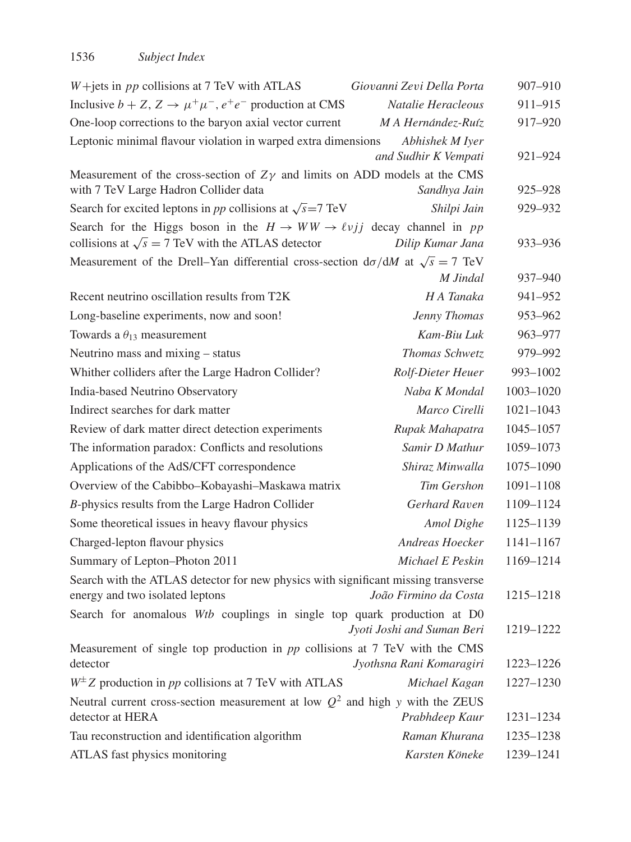| $W + jets$ in pp collisions at 7 TeV with ATLAS                                                                       | Giovanni Zevi Della Porta               | 907-910       |
|-----------------------------------------------------------------------------------------------------------------------|-----------------------------------------|---------------|
| Inclusive $b + Z$ , $Z \rightarrow \mu^+ \mu^-$ , $e^+ e^-$ production at CMS                                         | Natalie Heracleous                      | 911-915       |
| One-loop corrections to the baryon axial vector current                                                               | M A Hernández-Ruíz                      | 917-920       |
| Leptonic minimal flavour violation in warped extra dimensions                                                         | Abhishek M Iyer<br>and Sudhir K Vempati | 921-924       |
| Measurement of the cross-section of $Z\gamma$ and limits on ADD models at the CMS                                     |                                         |               |
| with 7 TeV Large Hadron Collider data                                                                                 | Sandhya Jain                            | 925-928       |
| Search for excited leptons in pp collisions at $\sqrt{s}$ =7 TeV                                                      | Shilpi Jain                             | 929–932       |
| Search for the Higgs boson in the $H \to WW \to \ell \nu i j$ decay channel in pp                                     |                                         |               |
| collisions at $\sqrt{s}$ = 7 TeV with the ATLAS detector                                                              | Dilip Kumar Jana                        | 933-936       |
| Measurement of the Drell–Yan differential cross-section $d\sigma/dM$ at $\sqrt{s} = 7$ TeV                            | M Jindal                                | 937–940       |
| Recent neutrino oscillation results from T2K                                                                          | H A Tanaka                              | 941-952       |
| Long-baseline experiments, now and soon!                                                                              | Jenny Thomas                            | 953-962       |
| Towards a $\theta_{13}$ measurement                                                                                   | Kam-Biu Luk                             | 963-977       |
| Neutrino mass and mixing – status                                                                                     | Thomas Schwetz                          | 979-992       |
| Whither colliders after the Large Hadron Collider?                                                                    | Rolf-Dieter Heuer                       | 993-1002      |
| India-based Neutrino Observatory                                                                                      | Naba K Mondal                           | 1003-1020     |
| Indirect searches for dark matter                                                                                     | Marco Cirelli                           | $1021 - 1043$ |
| Review of dark matter direct detection experiments                                                                    | Rupak Mahapatra                         | 1045-1057     |
| The information paradox: Conflicts and resolutions                                                                    | Samir D Mathur                          | 1059-1073     |
| Applications of the AdS/CFT correspondence                                                                            | Shiraz Minwalla                         | 1075-1090     |
| Overview of the Cabibbo-Kobayashi-Maskawa matrix                                                                      | Tim Gershon                             | 1091-1108     |
| B-physics results from the Large Hadron Collider                                                                      | Gerhard Raven                           | 1109-1124     |
| Some theoretical issues in heavy flavour physics                                                                      | Amol Dighe                              | 1125-1139     |
| Charged-lepton flavour physics                                                                                        | Andreas Hoecker                         | 1141-1167     |
| Summary of Lepton-Photon 2011                                                                                         | Michael E Peskin                        | 1169-1214     |
| Search with the ATLAS detector for new physics with significant missing transverse<br>energy and two isolated leptons | João Firmino da Costa                   | 1215-1218     |
| Search for anomalous Wtb couplings in single top quark production at D0                                               | Jyoti Joshi and Suman Beri              | 1219-1222     |
| Measurement of single top production in pp collisions at 7 TeV with the CMS<br>detector                               | Jyothsna Rani Komaragiri                | 1223-1226     |
| $W^{\pm}Z$ production in pp collisions at 7 TeV with ATLAS                                                            | Michael Kagan                           | 1227-1230     |
| Neutral current cross-section measurement at low $Q^2$ and high y with the ZEUS                                       |                                         |               |
| detector at HERA                                                                                                      | Prabhdeep Kaur                          | 1231-1234     |
| Tau reconstruction and identification algorithm                                                                       | Raman Khurana                           | 1235-1238     |
| ATLAS fast physics monitoring                                                                                         | Karsten Köneke                          | 1239-1241     |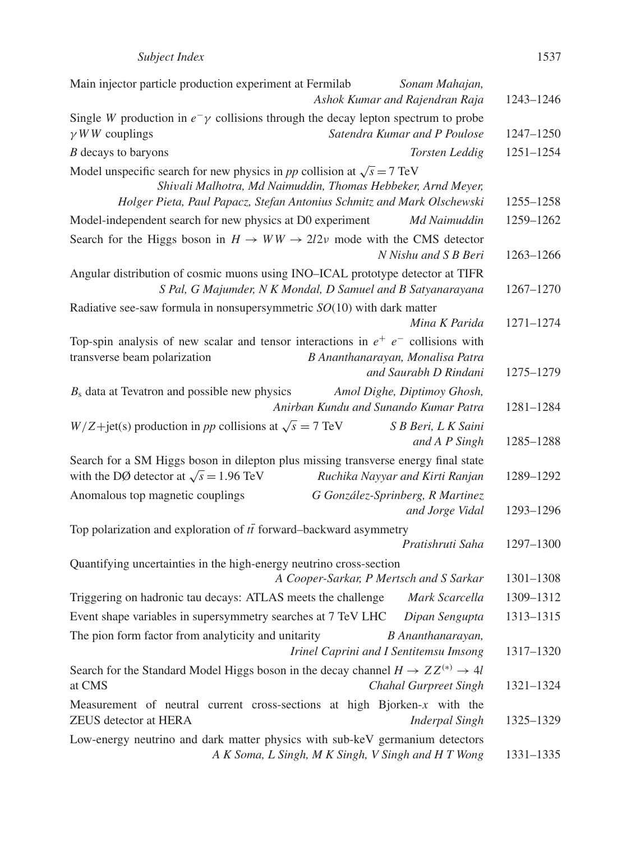| Main injector particle production experiment at Fermilab<br>Sonam Mahajan,<br>Ashok Kumar and Rajendran Raja                                                                   | 1243-1246     |
|--------------------------------------------------------------------------------------------------------------------------------------------------------------------------------|---------------|
| Single W production in $e^- \gamma$ collisions through the decay lepton spectrum to probe                                                                                      |               |
| $\gamma$ WW couplings<br>Satendra Kumar and P Poulose                                                                                                                          | 1247-1250     |
| $B$ decays to baryons<br>Torsten Leddig                                                                                                                                        | $1251 - 1254$ |
| Model unspecific search for new physics in pp collision at $\sqrt{s} = 7$ TeV<br>Shivali Malhotra, Md Naimuddin, Thomas Hebbeker, Arnd Meyer,                                  |               |
| Holger Pieta, Paul Papacz, Stefan Antonius Schmitz and Mark Olschewski                                                                                                         | 1255-1258     |
| Model-independent search for new physics at D0 experiment<br>Md Naimuddin                                                                                                      | 1259-1262     |
| Search for the Higgs boson in $H \to WW \to 2l2\nu$ mode with the CMS detector<br>N Nishu and S B Beri                                                                         | 1263-1266     |
| Angular distribution of cosmic muons using INO-ICAL prototype detector at TIFR<br>S Pal, G Majumder, N K Mondal, D Samuel and B Satyanarayana                                  | 1267-1270     |
| Radiative see-saw formula in nonsupersymmetric $SO(10)$ with dark matter<br>Mina K Parida                                                                                      | 1271-1274     |
| Top-spin analysis of new scalar and tensor interactions in $e^+$ $e^-$ collisions with<br>transverse beam polarization<br>B Ananthanarayan, Monalisa Patra                     |               |
| and Saurabh D Rindani                                                                                                                                                          | 1275-1279     |
| $B_s$ data at Tevatron and possible new physics<br>Amol Dighe, Diptimoy Ghosh,<br>Anirban Kundu and Sunando Kumar Patra                                                        | 1281-1284     |
| $W/Z + jet(s)$ production in pp collisions at $\sqrt{s} = 7$ TeV<br>S B Beri, L K Saini<br>and A P Singh                                                                       | 1285-1288     |
| Search for a SM Higgs boson in dilepton plus missing transverse energy final state<br>with the DØ detector at $\sqrt{s} = 1.96 \text{ TeV}$<br>Ruchika Nayyar and Kirti Ranjan | 1289-1292     |
| Anomalous top magnetic couplings<br>G González-Sprinberg, R Martinez<br>and Jorge Vidal                                                                                        | 1293-1296     |
| Top polarization and exploration of $t\bar{t}$ forward-backward asymmetry<br>Pratishruti Saha                                                                                  | 1297-1300     |
| Quantifying uncertainties in the high-energy neutrino cross-section<br>A Cooper-Sarkar, P Mertsch and S Sarkar                                                                 | 1301-1308     |
| Triggering on hadronic tau decays: ATLAS meets the challenge<br>Mark Scarcella                                                                                                 | 1309-1312     |
| Event shape variables in supersymmetry searches at 7 TeV LHC<br>Dipan Sengupta                                                                                                 | 1313-1315     |
| The pion form factor from analyticity and unitarity B Ananthanarayan,<br>Irinel Caprini and I Sentitemsu Imsong                                                                | 1317-1320     |
| Search for the Standard Model Higgs boson in the decay channel $H \to ZZ^{(*)} \to 4l$<br><b>Chahal Gurpreet Singh</b><br>at CMS                                               | 1321-1324     |
| Measurement of neutral current cross-sections at high Bjorken-x with the<br>ZEUS detector at HERA<br><b>Inderpal Singh</b>                                                     | 1325-1329     |
| Low-energy neutrino and dark matter physics with sub-keV germanium detectors<br>A K Soma, L Singh, M K Singh, V Singh and H T Wong                                             | 1331-1335     |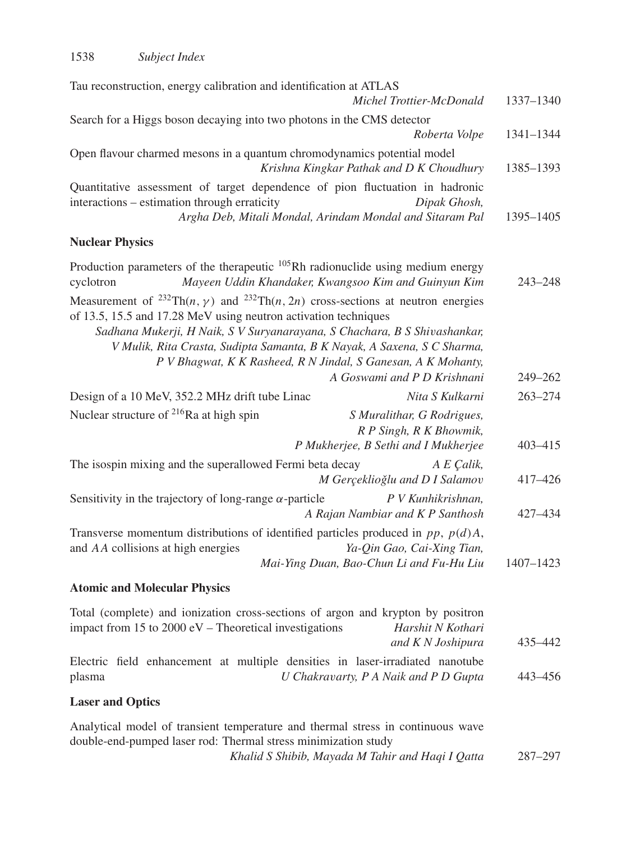| Tau reconstruction, energy calibration and identification at ATLAS                                                                                                                                                                                                                                                                                                                        |             |
|-------------------------------------------------------------------------------------------------------------------------------------------------------------------------------------------------------------------------------------------------------------------------------------------------------------------------------------------------------------------------------------------|-------------|
| Michel Trottier-McDonald                                                                                                                                                                                                                                                                                                                                                                  | 1337-1340   |
| Search for a Higgs boson decaying into two photons in the CMS detector                                                                                                                                                                                                                                                                                                                    |             |
| Roberta Volpe                                                                                                                                                                                                                                                                                                                                                                             | 1341-1344   |
| Open flavour charmed mesons in a quantum chromodynamics potential model<br>Krishna Kingkar Pathak and D K Choudhury                                                                                                                                                                                                                                                                       | 1385-1393   |
| Quantitative assessment of target dependence of pion fluctuation in hadronic<br>interactions – estimation through erraticity<br>Dipak Ghosh,<br>Argha Deb, Mitali Mondal, Arindam Mondal and Sitaram Pal                                                                                                                                                                                  | 1395-1405   |
| <b>Nuclear Physics</b>                                                                                                                                                                                                                                                                                                                                                                    |             |
| Production parameters of the therapeutic $105$ Rh radionuclide using medium energy<br>Mayeen Uddin Khandaker, Kwangsoo Kim and Guinyun Kim<br>cyclotron                                                                                                                                                                                                                                   | $243 - 248$ |
| Measurement of $^{232}Th(n, \gamma)$ and $^{232}Th(n, 2n)$ cross-sections at neutron energies<br>of 13.5, 15.5 and 17.28 MeV using neutron activation techniques<br>Sadhana Mukerji, H Naik, S V Suryanarayana, S Chachara, B S Shivashankar,<br>V Mulik, Rita Crasta, Sudipta Samanta, B K Nayak, A Saxena, S C Sharma,<br>P V Bhagwat, K K Rasheed, R N Jindal, S Ganesan, A K Mohanty, |             |
| A Goswami and P D Krishnani                                                                                                                                                                                                                                                                                                                                                               | $249 - 262$ |
| Design of a 10 MeV, 352.2 MHz drift tube Linac<br>Nita S Kulkarni                                                                                                                                                                                                                                                                                                                         | $263 - 274$ |
| Nuclear structure of <sup>216</sup> Ra at high spin<br>S Muralithar, G Rodrigues,<br>R P Singh, R K Bhowmik,<br>P Mukherjee, B Sethi and I Mukherjee                                                                                                                                                                                                                                      | 403-415     |
| The isospin mixing and the superallowed Fermi beta decay<br>A E Çalik,<br>M Gerçeklioğlu and D I Salamov                                                                                                                                                                                                                                                                                  | 417-426     |
| Sensitivity in the trajectory of long-range $\alpha$ -particle<br>P V Kunhikrishnan,<br>A Rajan Nambiar and K P Santhosh                                                                                                                                                                                                                                                                  | 427-434     |
| Transverse momentum distributions of identified particles produced in $pp$ , $p(d)A$ ,<br>and AA collisions at high energies<br>Ya-Qin Gao, Cai-Xing Tian,<br>Mai-Ying Duan, Bao-Chun Li and Fu-Hu Liu                                                                                                                                                                                    | 1407-1423   |
| <b>Atomic and Molecular Physics</b>                                                                                                                                                                                                                                                                                                                                                       |             |
| Total (complete) and ionization cross-sections of argon and krypton by positron<br>impact from 15 to 2000 $eV$ – Theoretical investigations <i>Harshit N Kothari</i><br>and K N Joshipura                                                                                                                                                                                                 | 435-442     |
| Electric field enhancement at multiple densities in laser-irradiated nanotube<br>U Chakravarty, P A Naik and P D Gupta<br>plasma                                                                                                                                                                                                                                                          | 443-456     |
| <b>Laser and Optics</b>                                                                                                                                                                                                                                                                                                                                                                   |             |
| Analytical model of transient temperature and thermal stress in continuous wave                                                                                                                                                                                                                                                                                                           |             |
| double-end-pumped laser rod: Thermal stress minimization study<br>Khalid S Shibib, Mayada M Tahir and Haqi I Qatta                                                                                                                                                                                                                                                                        | $287 - 297$ |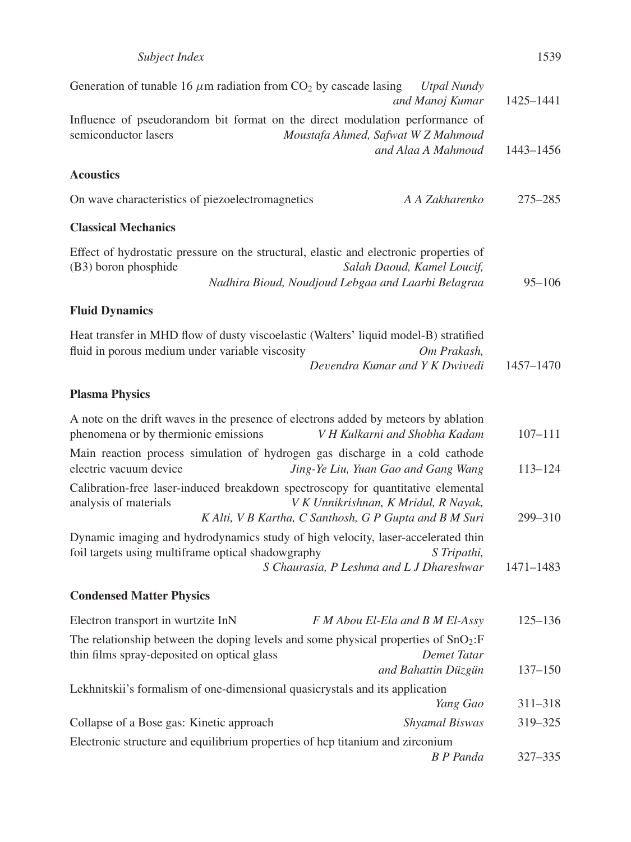| Generation of tunable 16 $\mu$ m radiation from CO <sub>2</sub> by cascade lasing<br><b>Utpal Nundy</b><br>and Manoj Kumar                                                                                                                   | 1425-1441   |
|----------------------------------------------------------------------------------------------------------------------------------------------------------------------------------------------------------------------------------------------|-------------|
| Influence of pseudorandom bit format on the direct modulation performance of<br>semiconductor lasers<br>Moustafa Ahmed, Safwat W Z Mahmoud<br>and Alaa A Mahmoud                                                                             | 1443–1456   |
| <b>Acoustics</b>                                                                                                                                                                                                                             |             |
| On wave characteristics of piezoelectromagnetics<br>A A Zakharenko                                                                                                                                                                           | $275 - 285$ |
| <b>Classical Mechanics</b>                                                                                                                                                                                                                   |             |
| Effect of hydrostatic pressure on the structural, elastic and electronic properties of<br>Salah Daoud, Kamel Loucif,<br>(B3) boron phosphide<br>Nadhira Bioud, Noudjoud Lebgaa and Laarbi Belagraa                                           | $95 - 106$  |
| <b>Fluid Dynamics</b>                                                                                                                                                                                                                        |             |
| Heat transfer in MHD flow of dusty viscoelastic (Walters' liquid model-B) stratified<br>fluid in porous medium under variable viscosity<br>Om Prakash,<br>Devendra Kumar and Y K Dwivedi                                                     | 1457–1470   |
| <b>Plasma Physics</b>                                                                                                                                                                                                                        |             |
| A note on the drift waves in the presence of electrons added by meteors by ablation<br>phenomena or by thermionic emissions<br>V H Kulkarni and Shobha Kadam<br>Main reaction process simulation of hydrogen gas discharge in a cold cathode | $107 - 111$ |
| electric vacuum device<br>Jing-Ye Liu, Yuan Gao and Gang Wang                                                                                                                                                                                | $113 - 124$ |
| Calibration-free laser-induced breakdown spectroscopy for quantitative elemental<br>V K Unnikrishnan, K Mridul, R Nayak,<br>analysis of materials<br>K Alti, V B Kartha, C Santhosh, G P Gupta and B M Suri                                  | 299-310     |
| Dynamic imaging and hydrodynamics study of high velocity, laser-accelerated thin<br>foil targets using multiframe optical shadowgraphy<br>S Tripathi,<br>S Chaurasia, P Leshma and L J Dhareshwar                                            | 1471-1483   |
| <b>Condensed Matter Physics</b>                                                                                                                                                                                                              |             |
| Electron transport in wurtzite InN<br>F M Abou El-Ela and B M El-Assy                                                                                                                                                                        | $125 - 136$ |
| The relationship between the doping levels and some physical properties of $SnO2:F$<br><b>Demet Tatar</b><br>thin films spray-deposited on optical glass<br>and Bahattin Düzgün                                                              | $137 - 150$ |
| Lekhnitskii's formalism of one-dimensional quasicrystals and its application                                                                                                                                                                 |             |
| Yang Gao                                                                                                                                                                                                                                     | 311-318     |
| Collapse of a Bose gas: Kinetic approach<br><b>Shyamal Biswas</b>                                                                                                                                                                            | 319-325     |
| Electronic structure and equilibrium properties of hcp titanium and zirconium<br><b>B</b> P Panda                                                                                                                                            | 327-335     |